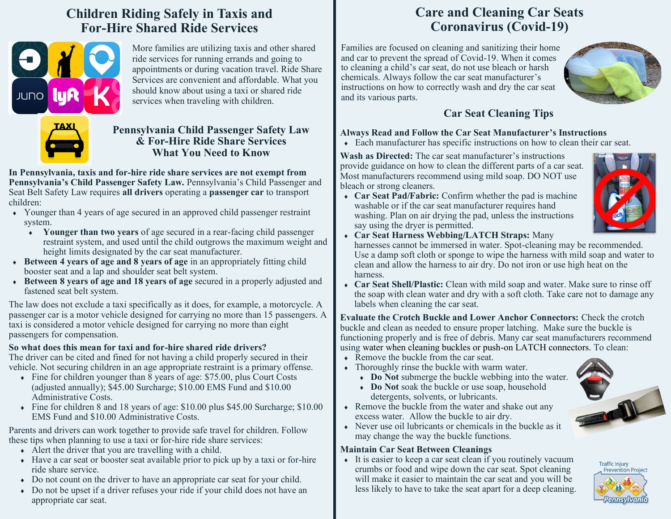# **Children Riding Safely in Taxis and For-Hire Shared Ride Services**



More families are utilizing taxis and other shared ride services for running errands and going to appointments or during vacation travel. Ride Share Services are convenient and affordable. What you should know about using a taxi or shared ride services when traveling with children.



### **Pennsylvania Child Passenger Safety Law & For-Hire Ride Share Services What You Need to Know**

**In Pennsylvania, taxis and for-hire ride share services are not exempt from Pennsylvania's Child Passenger Safety Law.** Pennsylvania's Child Passenger and Seat Belt Safety Law requires **all drivers** operating a **passenger car** to transport children:

- Younger than 4 years of age secured in an approved child passenger restraint system.
	- **Younger than two years** of age secured in a rear-facing child passenger restraint system, and used until the child outgrows the maximum weight and height limits designated by the car seat manufacturer.
- **Between 4 years of age and 8 years of age** in an appropriately fitting child booster seat and a lap and shoulder seat belt system.
- **Between 8 years of age and 18 years of age** secured in a properly adjusted and fastened seat belt system.

The law does not exclude a taxi specifically as it does, for example, a motorcycle. A passenger car is a motor vehicle designed for carrying no more than 15 passengers. A taxi is considered a motor vehicle designed for carrying no more than eight passengers for compensation.

#### **So what does this mean for taxi and for-hire shared ride drivers?**

The driver can be cited and fined for not having a child properly secured in their vehicle. Not securing children in an age appropriate restraint is a primary offense.

- Fine for children younger than 8 years of age: \$75.00, plus Court Costs (adjusted annually); \$45.00 Surcharge; \$10.00 EMS Fund and \$10.00 Administrative Costs.
- Fine for children 8 and 18 years of age: \$10.00 plus \$45.00 Surcharge; \$10.00 EMS Fund and \$10.00 Administrative Costs.

Parents and drivers can work together to provide safe travel for children. Follow these tips when planning to use a taxi or for-hire ride share services:

- $\triangle$  Alert the driver that you are travelling with a child.
- Have a car seat or booster seat available prior to pick up by a taxi or for-hire ride share service.
- Do not count on the driver to have an appropriate car seat for your child.
- Do not be upset if a driver refuses your ride if your child does not have an appropriate car seat.

# **Care and Cleaning Car Seats Coronavirus (Covid-19)**

Families are focused on cleaning and sanitizing their home and car to prevent the spread of Covid-19. When it comes to cleaning a child's car seat, do not use bleach or harsh chemicals. Always follow the car seat manufacturer's instructions on how to correctly wash and dry the car seat and its various parts.



## **Car Seat Cleaning Tips**

### **Always Read and Follow the Car Seat Manufacturer's Instructions**

Each manufacturer has specific instructions on how to clean their car seat.

**Wash as Directed:** The car seat manufacturer's instructions provide guidance on how to clean the different parts of a car seat. Most manufacturers recommend using mild soap. DO NOT use bleach or strong cleaners.





say using the dryer is permitted. **Car Seat Harness Webbing/LATCH Straps:** Many harnesses cannot be immersed in water. Spot-cleaning may be recommended.

Use a damp soft cloth or sponge to wipe the harness with mild soap and water to clean and allow the harness to air dry. Do not iron or use high heat on the harness.

 **Car Seat Shell/Plastic:** Clean with mild soap and water. Make sure to rinse off the soap with clean water and dry with a soft cloth. Take care not to damage any labels when cleaning the car seat.

**Evaluate the Crotch Buckle and Lower Anchor Connectors:** Check the crotch buckle and clean as needed to ensure proper latching. Make sure the buckle is functioning properly and is free of debris. Many car seat manufacturers recommend using water when cleaning buckles or push-on LATCH connectors. To clean:

- Remove the buckle from the car seat.
- Thoroughly rinse the buckle with warm water.
	- **Do Not** submerge the buckle webbing into the water.
	- **Do Not** soak the buckle or use soap, household detergents, solvents, or lubricants.
- Remove the buckle from the water and shake out any excess water. Allow the buckle to air dry.
- Never use oil lubricants or chemicals in the buckle as it may change the way the buckle functions.

### **Maintain Car Seat Between Cleanings**

 It is easier to keep a car seat clean if you routinely vacuum crumbs or food and wipe down the car seat. Spot cleaning will make it easier to maintain the car seat and you will be less likely to have to take the seat apart for a deep cleaning.